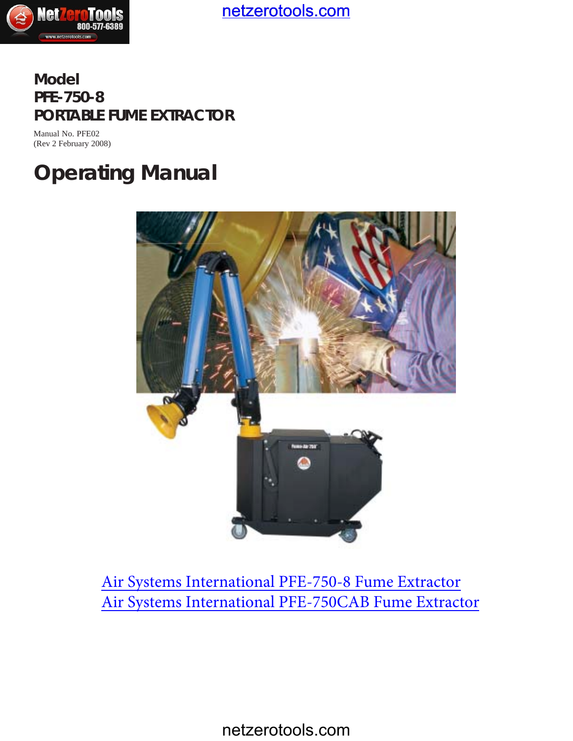

**Model PFE-750-8 PORTABLE FUME EXTRACTOR**

Manual No. PFE02 (Rev 2 February 2008)

# **Operating Manual**



[Air Systems International PFE-750-8 Fume Extractor](http://www.netzerotools.com/air-systems-international-pfe-750-8-fume-extractor) [Air Systems International PFE-750CAB Fume Extractor](http://www.netzerotools.com/air-systems-international-pfe-750cab-fume-extractor)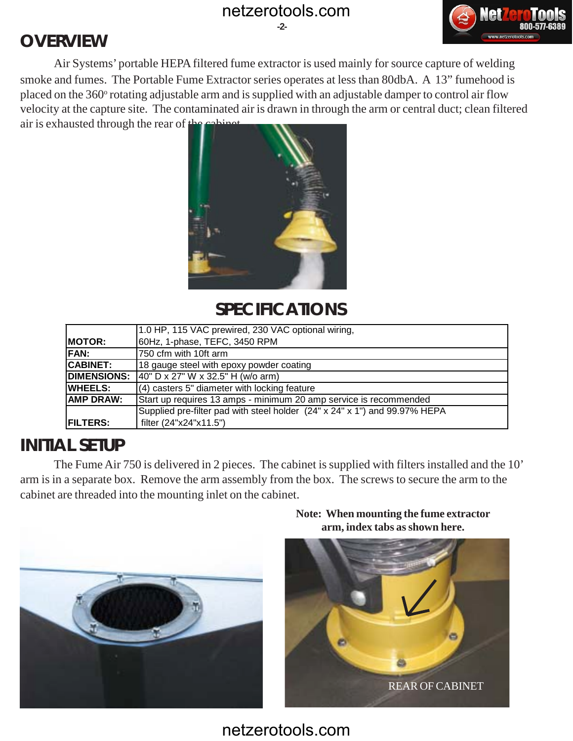**-2-**

### **OVERVIEW**



Air Systems' portable HEPA filtered fume extractor is used mainly for source capture of welding smoke and fumes. The Portable Fume Extractor series operates at less than 80dbA. A 13" fumehood is placed on the 360° rotating adjustable arm and is supplied with an adjustable damper to control air flow velocity at the capture site. The contaminated air is drawn in through the arm or central duct; clean filtered air is exhausted through the rear of  $t^1$ 



#### **SPECIFICATIONS**

|                    | 1.0 HP, 115 VAC prewired, 230 VAC optional wiring,                         |
|--------------------|----------------------------------------------------------------------------|
|                    |                                                                            |
| <b>IMOTOR:</b>     | 60Hz, 1-phase, TEFC, 3450 RPM                                              |
| IFAN:              | 750 cfm with 10ft arm                                                      |
| ICABINET:          | 18 gauge steel with epoxy powder coating                                   |
| <b>DIMENSIONS:</b> | $140"$ D x 27" W x 32.5" H (w/o arm)                                       |
| <b> WHEELS:</b>    | $(4)$ casters 5" diameter with locking feature                             |
| IAMP DRAW:         | Start up requires 13 amps - minimum 20 amp service is recommended          |
|                    | Supplied pre-filter pad with steel holder (24" x 24" x 1") and 99.97% HEPA |
| <b>FILTERS:</b>    | filter (24"x24"x11.5")                                                     |

#### **INITIAL SETUP**

The Fume Air 750 is delivered in 2 pieces. The cabinet is supplied with filters installed and the 10' arm is in a separate box. Remove the arm assembly from the box. The screws to secure the arm to the cabinet are threaded into the mounting inlet on the cabinet.



**Note: When mounting the fume extractor arm, index tabs as shown here.**

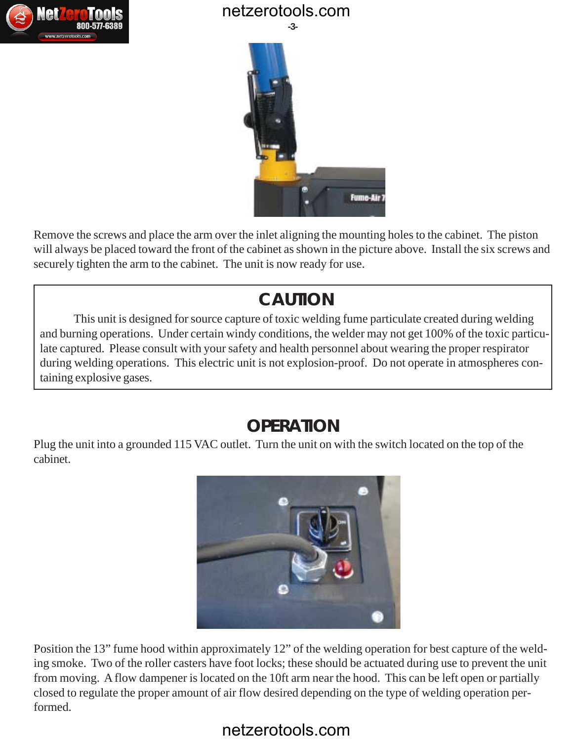



Remove the screws and place the arm over the inlet aligning the mounting holes to the cabinet. The piston will always be placed toward the front of the cabinet as shown in the picture above. Install the six screws and securely tighten the arm to the cabinet. The unit is now ready for use.

## **CAUTION**

This unit is designed for source capture of toxic welding fume particulate created during welding and burning operations. Under certain windy conditions, the welder may not get 100% of the toxic particulate captured. Please consult with your safety and health personnel about wearing the proper respirator during welding operations. This electric unit is not explosion-proof. Do not operate in atmospheres containing explosive gases.

### **OPERATION**

Plug the unit into a grounded 115 VAC outlet. Turn the unit on with the switch located on the top of the cabinet.



Position the 13" fume hood within approximately 12" of the welding operation for best capture of the welding smoke. Two of the roller casters have foot locks; these should be actuated during use to prevent the unit from moving. A flow dampener is located on the 10ft arm near the hood. This can be left open or partially closed to regulate the proper amount of air flow desired depending on the type of welding operation performed.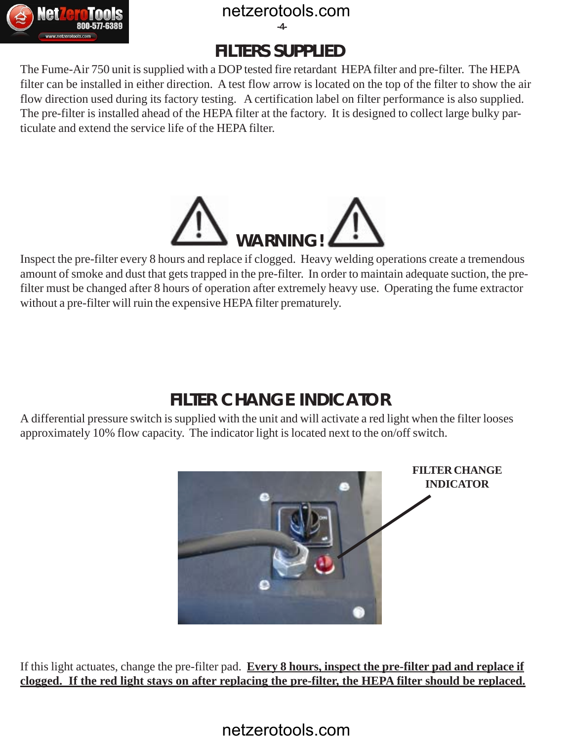**-4-**

### **FILTERS SUPPLIED**

The Fume-Air 750 unit is supplied with a DOP tested fire retardant HEPA filter and pre-filter. The HEPA filter can be installed in either direction. A test flow arrow is located on the top of the filter to show the air flow direction used during its factory testing. A certification label on filter performance is also supplied. The pre-filter is installed ahead of the HEPA filter at the factory. It is designed to collect large bulky particulate and extend the service life of the HEPA filter.



Inspect the pre-filter every 8 hours and replace if clogged. Heavy welding operations create a tremendous amount of smoke and dust that gets trapped in the pre-filter. In order to maintain adequate suction, the prefilter must be changed after 8 hours of operation after extremely heavy use. Operating the fume extractor without a pre-filter will ruin the expensive HEPA filter prematurely.

## **FILTER CHANGE INDICATOR**

A differential pressure switch is supplied with the unit and will activate a red light when the filter looses approximately 10% flow capacity. The indicator light is located next to the on/off switch.



If this light actuates, change the pre-filter pad. **Every 8 hours, inspect the pre-filter pad and replace if clogged. If the red light stays on after replacing the pre-filter, the HEPA filter should be replaced.**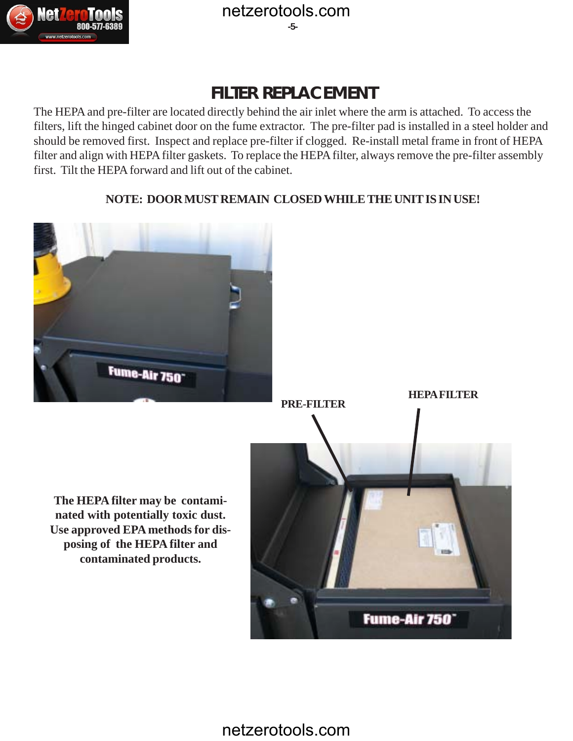

#### **FILTER REPLACEMENT**

The HEPA and pre-filter are located directly behind the air inlet where the arm is attached. To access the filters, lift the hinged cabinet door on the fume extractor. The pre-filter pad is installed in a steel holder and should be removed first. Inspect and replace pre-filter if clogged. Re-install metal frame in front of HEPA filter and align with HEPA filter gaskets. To replace the HEPA filter, always remove the pre-filter assembly first. Tilt the HEPA forward and lift out of the cabinet.

#### **NOTE: DOOR MUST REMAIN CLOSED WHILE THE UNIT IS IN USE!**

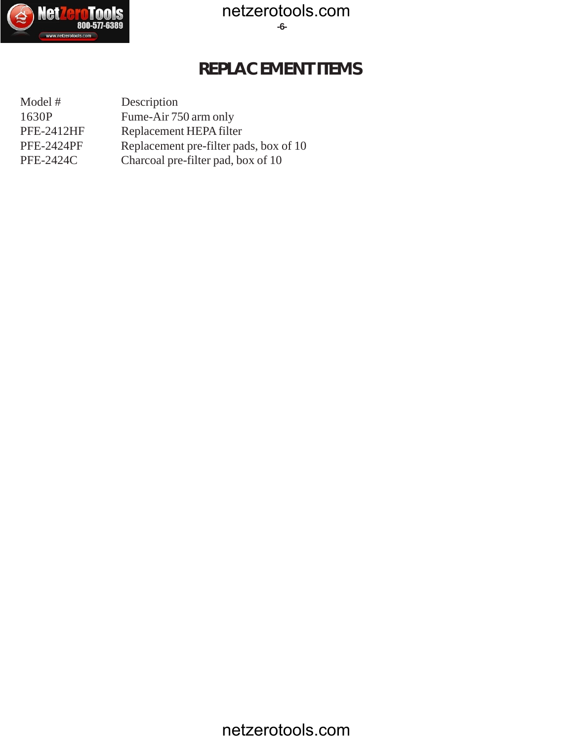

#### **REPLACEMENT ITEMS**

Model # Description 1630P Fume-Air 750 arm only PFE-2412HF Replacement HEPA filter PFE-2424PF Replacement pre-filter pads, box of 10 PFE-2424C Charcoal pre-filter pad, box of 10